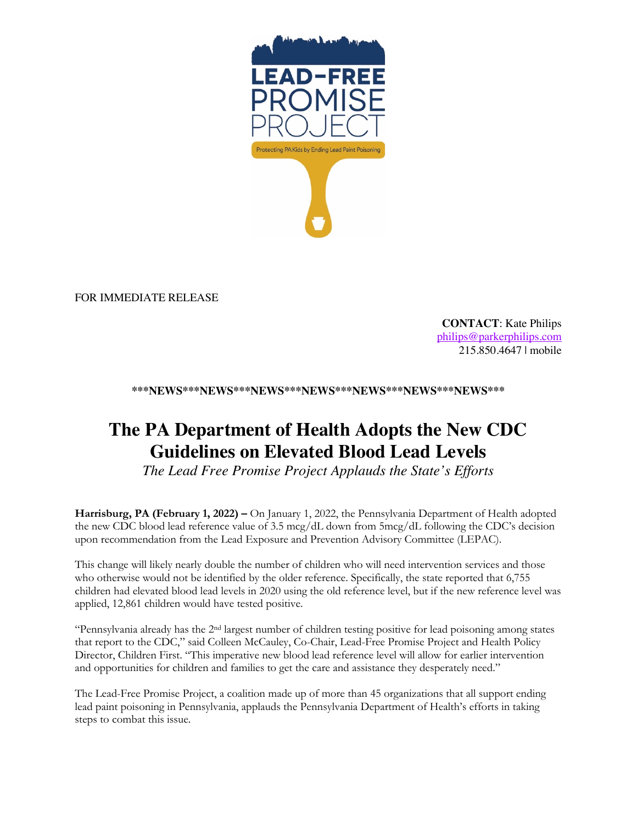

FOR IMMEDIATE RELEASE

**CONTACT**: Kate Philips philips@parkerphilips.com 215.850.4647 | mobile

**\*\*\*NEWS\*\*\*NEWS\*\*\*NEWS\*\*\*NEWS\*\*\*NEWS\*\*\*NEWS\*\*\*NEWS\*\*\***

## **The PA Department of Health Adopts the New CDC Guidelines on Elevated Blood Lead Levels**

*The Lead Free Promise Project Applauds the State's Efforts* 

**Harrisburg, PA (February 1, 2022) –** On January 1, 2022, the Pennsylvania Department of Health adopted the new CDC blood lead reference value of 3.5 mcg/dL down from 5mcg/dL following the CDC's decision upon recommendation from the Lead Exposure and Prevention Advisory Committee (LEPAC).

This change will likely nearly double the number of children who will need intervention services and those who otherwise would not be identified by the older reference. Specifically, the state reported that 6,755 children had elevated blood lead levels in 2020 using the old reference level, but if the new reference level was applied, 12,861 children would have tested positive.

"Pennsylvania already has the 2nd largest number of children testing positive for lead poisoning among states that report to the CDC," said Colleen McCauley, Co-Chair, Lead-Free Promise Project and Health Policy Director, Children First. "This imperative new blood lead reference level will allow for earlier intervention and opportunities for children and families to get the care and assistance they desperately need."

The Lead-Free Promise Project, a coalition made up of more than 45 organizations that all support ending lead paint poisoning in Pennsylvania, applauds the Pennsylvania Department of Health's efforts in taking steps to combat this issue.